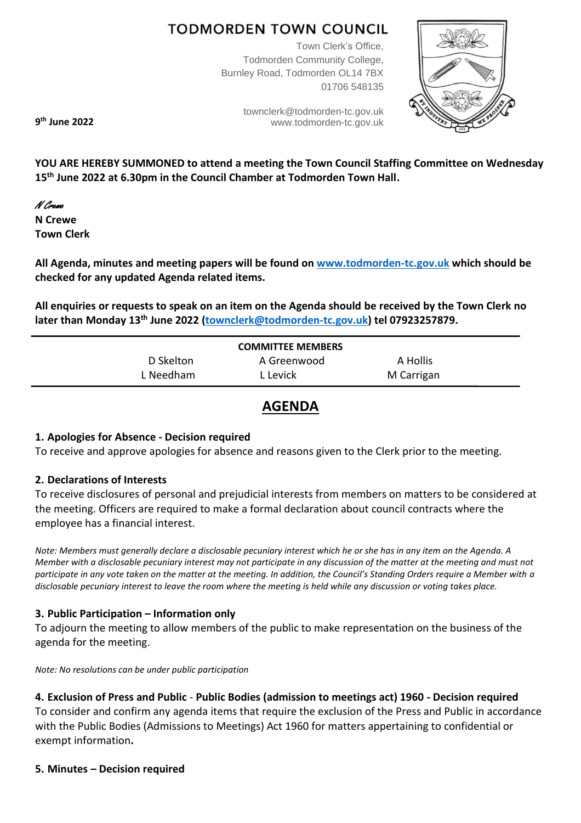# **TODMORDEN TOWN COUNCIL**

Town Clerk's Office, Todmorden Community College, Burnley Road, Todmorden OL14 7BX 01706 548135

> [townclerk@todmorden-tc.gov.uk](mailto:townclerk@todmorden-tc.gov.uk) www.todmorden-tc.gov.uk



**9 th June 2022**

**YOU ARE HEREBY SUMMONED to attend a meeting the Town Council Staffing Committee on Wednesday 15th June 2022 at 6.30pm in the Council Chamber at Todmorden Town Hall.**

# N Crewe

**N Crewe Town Clerk**

**All Agenda, minutes and meeting papers will be found on [www.todmorden-tc.gov.uk](http://www.todmorden-tc.gov.uk/) which should be checked for any updated Agenda related items.**

**All enquiries or requests to speak on an item on the Agenda should be received by the Town Clerk no later than Monday 13th June 2022 [\(townclerk@todmorden-tc.gov.uk\)](mailto:townclerk@todmorden-tc.gov.uk) tel 07923257879.**

| <b>COMMITTEE MEMBERS</b> |             |            |
|--------------------------|-------------|------------|
| D Skelton                | A Greenwood | A Hollis   |
| L Needham                | L Levick    | M Carrigan |

# **AGENDA**

#### **1. Apologies for Absence - Decision required**

To receive and approve apologies for absence and reasons given to the Clerk prior to the meeting.

#### **2. Declarations of Interests**

To receive disclosures of personal and prejudicial interests from members on matters to be considered at the meeting. Officers are required to make a formal declaration about council contracts where the employee has a financial interest.

*Note: Members must generally declare a disclosable pecuniary interest which he or she has in any item on the Agenda. A Member with a disclosable pecuniary interest may not participate in any discussion of the matter at the meeting and must not participate in any vote taken on the matter at the meeting. In addition, the Council's Standing Orders require a Member with a disclosable pecuniary interest to leave the room where the meeting is held while any discussion or voting takes place.* 

#### **3. Public Participation – Information only**

To adjourn the meeting to allow members of the public to make representation on the business of the agenda for the meeting.

*Note: No resolutions can be under public participation*

#### **4. Exclusion of Press and Public** - **Public Bodies (admission to meetings act) 1960 - Decision required**

To consider and confirm any agenda items that require the exclusion of the Press and Public in accordance with the Public Bodies (Admissions to Meetings) Act 1960 for matters appertaining to confidential or exempt information**.** 

#### **5. Minutes – Decision required**